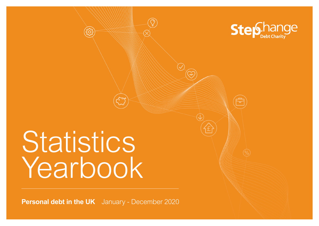

# Statistics Yearbook

**Personal debt in the UK** January - December 2020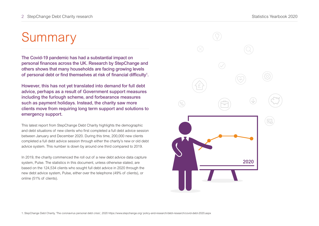# Summary

The Covid-19 pandemic has had a substantial impact on personal finances across the UK. Research by StepChange and others shows that many households are facing growing levels of personal debt or find themselves at risk of financial difficulty $^{\rm 1}.$ 

However, this has not yet translated into demand for full debt advice, perhaps as a result of Government support measures including the furlough scheme, and forbearance measures such as payment holidays. Instead, the charity saw more clients move from requiring long term support and solutions to emergency support.

This latest report from StepChange Debt Charity highlights the demographic and debt situations of new clients who first completed a full debt advice session between January and December 2020. During this time, 200,000 new clients completed a full debt advice session through either the charity's new or old debt advice system. This number is down by around one third compared to 2019.

In 2019, the charity commenced the roll out of a new debt advice data capture system, Pulse. The statistics in this document, unless otherwise stated, are based on the 124,534 clients who sought full debt advice in 2020 through the new debt advice system, Pulse, either over the telephone (49% of clients), or online (51% of clients).

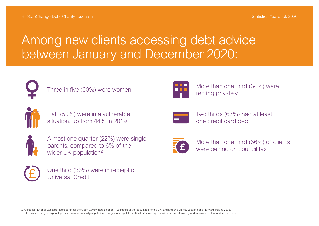## Among new clients accessing debt advice between January and December 2020:



Three in five (60%) were women



Half (50%) were in a vulnerable situation, up from 44% in 2019



Almost one quarter (22%) were single parents, compared to 6% of the wider UK population<sup>2</sup>



One third (33%) were in receipt of Universal Credit



More than one third (34%) were renting privately



Two thirds (67%) had at least one credit card debt



More than one third (36%) of clients were behind on council tax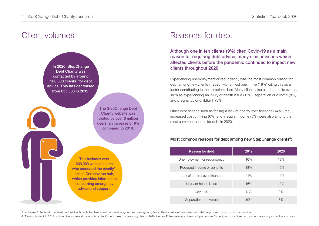#### Client volumes



#### Reasons for debt

Although one in ten clients (9%) cited Covid-19 as a main reason for requiring debt advice, many similar issues which affected clients before the pandemic continued to impact new clients throughout 2020.

Experiencing unemployment or redundancy was the most common reason for debt among new clients in 2020, with almost one in five (18%) citing this as a factor contributing to their problem debt. Many clients also cited other life events, such as experiencing an injury or health issue (12%); separation or divorce (8%) and pregnancy or childbirth (3%).

Other experiences such as feeling a lack of control over finances (14%), the increased cost of living (6%) and irregular income (3%) were also among the most common reasons for debt in 2020.

#### Most common reasons for debt among new StepChange clients<sup>4</sup>:

| <b>Reason for debt</b>        | 2019 | 2020 |
|-------------------------------|------|------|
| Unemployment or redundancy    | 16%  | 18%  |
| Reduced income or benefits    | 18%  | 15%  |
| Lack of control over finances | 11%  | 14%  |
| Injury or health issue        | 16%  | 12%  |
| Covid-19                      | N/A  | 9%   |
| Separation or divorce         | 10%  | 8%   |

3. Inclusive of clients who received debt advice through the charity's old debt advice system and new system, Pulse. Also inclusive of new clients who did not proceed through to full debt advice.

4. 'Reason for debt' in 2019 captured the single main reason for a client's debt based on telephony data. In 2020, the new Pulse system captures multiple reasons for debt, and is captured across both telephony and online c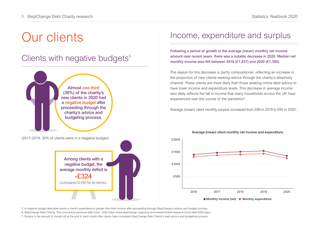# Our clients

## Clients with negative budgets<sup>5</sup>



#### Income, expenditure and surplus

Following a period of growth in the average (mean) monthly net income amount over recent years, there was a notable decrease in 2020. Median net monthly income also fell between 2019 (£1,437) and 2020 (£1,300).

The reason for this decrease is partly compositional, reflecting an increase in the proportion of new clients seeking advice through the charity's telephony channel. These clients are more likely than those seeking online debt advice to have lower income and expenditure levels. This decrease in average income also likely reflects the fall in income that many households across the UK have experienced over the course of the pandemic $6$ .

Average (mean) client monthly surplus increased from £89 in 2019 to £95 in 20207 .



5. A negative budget describes where a client's expenditure is greater than their income after proceeding through StepChange's advice and budget process.

6. StepChange Debt Charity, 'The coronavirus personal debt crisis', 2020 https://www.stepchange org/policy-and-research/debt-research/covid-debt-2020.aspx

7. Surplus is the amount of money left at the end of each month after clients have completed StepChange Debt Charity's debt advice and budgeting process.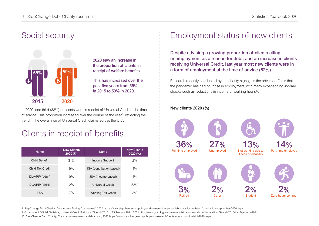#### Social security



2020 saw an increase in the proportion of clients in receipt of welfare benefits.

This has increased over the past five years from 55% in 2015 to 59% in 2020.

In 2020, one third (33%) of clients were in receipt of Universal Credit at the time of advice. This proportion increased over the course of the year<sup>8</sup>, reflecting the trend in the overall rise of Universal Credit claims across the UK<sup>9</sup>.

## Clients in receipt of benefits

| <b>Name</b>          | <b>New Clients</b><br>2020(%) | <b>Name</b>               | <b>New Clients</b><br>2020(%) |
|----------------------|-------------------------------|---------------------------|-------------------------------|
| <b>Child Benefit</b> | 31%                           | Income Support            | 2%                            |
| Child Tax Credit     | 9%                            | JSA (contribution based)  | $1\%$                         |
| DLA/PIP (adult)      | 9%                            | JSA (income based)        | $1\%$                         |
| DLA/PIP (child)      | 2%                            | Universal Credit          | 33%                           |
| <b>ESA</b>           | 7%                            | <b>Working Tax Credit</b> | 3%                            |

#### Employment status of new clients

Despite advising a growing proportion of clients citing unemployment as a reason for debt, and an increase in clients receiving Universal Credit, last year most new clients were in a form of employment at the time of advice (52%).

Research recently conducted by the charity highlights the adverse effects that the pandemic has had on those in employment, with many experiencing income shocks such as reductions in income or working hours<sup>10</sup>.

#### New clients 2020 (%)



8. StepChange Debt Charity, 'Debt Advice During Coronavirus', 2020. https://www.stepchange.org/policy-and-research/personal-debt-statistics-in-the-uk/coronavirus-september-2020.aspx

9. Government Official Statistics, Universal Credit Statistics: 29 April 2013 to 15 January 2021. 2021 https://www.gov.uk/government/statistics/universal-credit-statistics-29-april-2013-to-14-january-2021

10. StepChange Debt Charity, 'The coronaviruspersonal debt crisis', 2020 https://www.stepchange.org/policy-and-research/debt-research/covid-debt-2020.aspx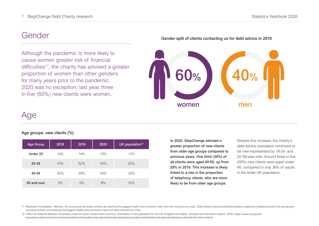#### Gender

Although the pandemic is more likely to cause women greater risk of financial difficulties<sup>11</sup>, the charity has advised a greater proportion of women than other genders for many years prior to the pandemic. 2020 was no exception; last year, three in five (60%) new clients were women.

#### Gender split of clients contacting us for debt advice in 2019



## Age

#### Age groups: new clients (%)

| <b>Age Group</b> | 2018 | 2019 | 2020 | UK population <sup>12</sup> |
|------------------|------|------|------|-----------------------------|
| Under 25         | 14%  | 14%  | 13%  | 11%                         |
| 25-39            | 51%  | 52%  | 45%  | 25%                         |
| 40-59            | 30%  | 29%  | 34%  | 33%                         |
| 60 and over      | 5%   | 5%   | 8%   | 31%                         |

In 2020, StepChange advised a greater proportion of new clients from older age groups compared to previous years. One third (34%) of all clients were aged 40-59, up from 29% in 2019. This increase is likely linked to a rise in the proportion of telephony clients, who are more likely to be from older age groups.

Despite this increase, the charity's debt advice population continued to be over-represented by 18-24- and 25-39-year olds. Around three in five (58%) new clients were aged under 40, compared to only 36% of adults in the wider UK population.

11. Resolution Foundation, 'Women, the young and low-paid workers are bearing the biggest health and economic risks from the coronavirus crisis', 2020 ahttps://www.resolutionfoundation.org/press-releases/women-the-young-andlow-paid-workers-are-bearing-the-biggest-health-and-economic-risks-from-the-coronavirus-crisis/

12. Office for National Statistics (licensed under the Open Government Licence), 'Estimates of the population for the UK, England and Wales, Scotland and Northern Ireland', 2020. https://www.ons.gov.uk/ peoplepopulationandcommunity/populationandmigration/populationestimates/datasets/populationestimatesforukenglandandwalesscotlandandnorthernireland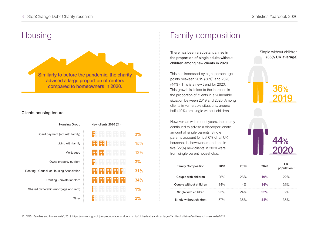Single without children (36% UK average)

36%

44%

2019

## **Housing**



#### Clients housing tenure

| <b>Housing Group</b>                     | New clients 2020 (%)                       |     |
|------------------------------------------|--------------------------------------------|-----|
| Board payment (not with family)          | .                                          | 3%  |
| Living with family                       | m<br>m                                     | 15% |
| Mortgaged                                | m<br>88                                    | 12% |
| Owns property outright                   |                                            | 3%  |
| Renting - Council or Housing Association | <br><b>A 6 6</b><br><br><br><br><b>THE</b> | 31% |
| Renting - private landlord               | ш<br>ш<br><br>ш<br>œ<br><b>B B B</b>       | 34% |
| Shared ownership (mortgage and rent)     |                                            | 1%  |
| Other                                    |                                            |     |

#### Family composition

There has been a substantial rise in the proportion of single adults without children among new clients in 2020.

This has increased by eight percentage points between 2019 (36%) and 2020 (44%). This is a new trend for 2020. This growth is linked to the increase in the proportion of clients in a vulnerable situation between 2019 and 2020. Among clients in vulnerable situations, around half (49%) are single without children.

However, as with recent years, the charity continued to advise a disproportionate amount of single parents. Single parents account for just 6% of all UK households, however around one in five (22%) new clients in 2020 were from single parent households.

| e (22%) new clients in 2020 were<br>m single parent households. |      |      |      |                                |
|-----------------------------------------------------------------|------|------|------|--------------------------------|
| <b>Family Composition</b>                                       | 2018 | 2019 | 2020 | UK<br>population <sup>13</sup> |
| Couple with children                                            | 26%  | 26%  | 19%  | 22%                            |
| Couple without children                                         | 14%  | 14%  | 14%  | 35%                            |
| Single with children                                            | 23%  | 24%  | 22%  | 6%                             |
| Single without children                                         | 37%  | 36%  |      | 36%                            |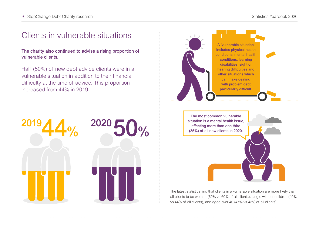#### Clients in vulnerable situations

The charity also continued to advise a rising proportion of vulnerable clients.

Half (50%) of new debt advice clients were in a vulnerable situation in addition to their financial difficulty at the time of advice. This proportion increased from 44% in 2019.





situation is a mental health issue, affecting more than one third (35%) of all new clients in 2020.

The latest statistics find that clients in a vulnerable situation are more likely than all clients to be women (62% vs 60% of all clients); single without children (49% vs 44% of all clients), and aged over 40 (47% vs 42% of all clients).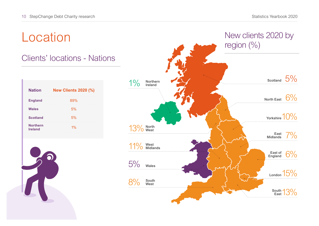# Location

### Clients' locations - Nations

| <b>New Clients 2020 (%)</b> |
|-----------------------------|
| 89%                         |
| 5%                          |
| 5%                          |
| 1%                          |
|                             |



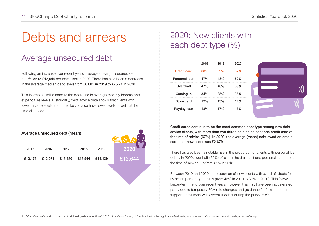# Debts and arrears

## Average unsecured debt

Following an increase over recent years, average (mean) unsecured debt had **fallen to £12,644** per new client in 2020. There has also been a decrease in the average median debt levels from £8,605 in 2019 to £7,724 in 2020.

This follows a similar trend to the decrease in average monthly income and expenditure levels. Historically, debt advice data shows that clients with lower income levels are more likely to also have lower levels of debt at the time of advice.

| Average unsecured debt (mean) |         |         |         |         |         |  |
|-------------------------------|---------|---------|---------|---------|---------|--|
| 2015                          | 2016    | 2017    | 2018    | 2019    | 2020    |  |
| £13,173                       | £13,071 | £13,280 | £13,544 | £14,129 | £12,644 |  |
|                               |         |         |         |         |         |  |

## 2020: New clients with each debt type (%)

|               | 2018 | 2019 | 2020 |  |
|---------------|------|------|------|--|
| Credit card   | 68%  | 69%  | 67%  |  |
| Personal loan | 47%  | 48%  | 52%  |  |
| Overdraft     | 47%  | 46%  | 39%  |  |
| Catalogue     | 34%  | 35%  | 35%  |  |
| Store card    | 12%  | 13%  | 14%  |  |
| Payday loan   | 18%  | 17%  | 13%  |  |
|               |      |      |      |  |



Credit cards continue to be the most common debt type among new debt advice clients, with more than two thirds holding at least one credit card at the time of advice (67%). In 2020, the average (mean) debt owed on credit cards per new client was £2,879.

There has also been a notable rise in the proportion of clients with personal loan debts. In 2020, over half (52%) of clients held at least one personal loan debt at the time of advice, up from 47% in 2018.

Between 2019 and 2020 the proportion of new clients with overdraft debts fell by seven percentage points (from 46% in 2019 to 39% in 2020). This follows a longer-term trend over recent years; however, this may have been accelerated partly due to temporary FCA rule changes and guidance for firms to better support consumers with overdraft debts during the pandemic<sup>14</sup>.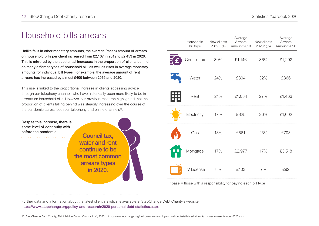### Household bills arrears

Unlike falls in other monetary amounts, the average (mean) amount of arrears on household bills per client increased from £2,137 in 2019 to £2,453 in 2020. This is mirrored by the substantial increases in the proportion of clients behind on many different types of household bill, as well as rises in average monetary amounts for individual bill types. For example, the average amount of rent arrears has increased by almost £400 between 2019 and 2020.

This rise is linked to the proportional increase in clients accessing advice through our telephony channel, who have historically been more likely to be in arrears on household bills. However, our previous research highlighted that the proportion of clients falling behind was steadily increasing over the course of the pandemic across both our telephony and online channels<sup>15</sup>.

Despite this increase, there is some level of continuity with before the pandemic.

Council tax, water and rent continue to be the most common arrears types in 2020.

| Household<br>bill type | New clients<br>2019* (%) | Average<br>Arrears<br>Amount 2019 | New clients<br>$2020*(\%)$ | Average<br>Arrears<br>Amount 2020 |
|------------------------|--------------------------|-----------------------------------|----------------------------|-----------------------------------|
| Council tax            | 30%                      | £1,146                            | 36%                        | £1,292                            |
| Water                  | 24%                      | £804                              | 32%                        | £866                              |
| Rent                   | 21%                      | £1,084                            | 27%                        | £1,463                            |
| Electricity            | 17%                      | £825                              | 26%                        | £1,002                            |
| Gas                    | 13%                      | £661                              | 23%                        | £703                              |
| Mortgage               | 17%                      | £2,977                            | 17%                        | £3,518                            |
| <b>TV License</b>      | 8%                       | £103                              | 7%                         | £92                               |

\*base = those with a responsibility for paying each bill type

Further data and information about the latest client statistics is available at StepChange Debt Charity's website: <https://www.stepchange.org/policy-and-research/2020-personal-debt-statistics.aspx>

15. StepChange Debt Charity, 'Debt Advice During Coronavirus', 2020. https://www.stepchange.org/policy-and-research/personal-debt-statistics-in-the-uk/coronavirus-september-2020.aspx